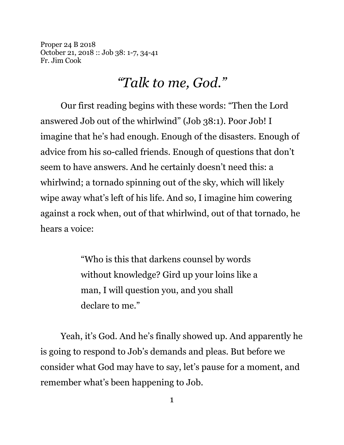Proper 24 B 2018 October 21, 2018 :: Job 38: 1-7, 34-41 Fr. Jim Cook

## *"Talk to me, God."*

Our first reading begins with these words: "Then the Lord answered Job out of the whirlwind" (Job 38:1). Poor Job! I imagine that he's had enough. Enough of the disasters. Enough of advice from his so-called friends. Enough of questions that don't seem to have answers. And he certainly doesn't need this: a whirlwind; a tornado spinning out of the sky, which will likely wipe away what's left of his life. And so, I imagine him cowering against a rock when, out of that whirlwind, out of that tornado, he hears a voice:

> "Who is this that darkens counsel by words without knowledge? Gird up your loins like a man, I will question you, and you shall declare to me."

Yeah, it's God. And he's finally showed up. And apparently he is going to respond to Job's demands and pleas. But before we consider what God may have to say, let's pause for a moment, and remember what's been happening to Job.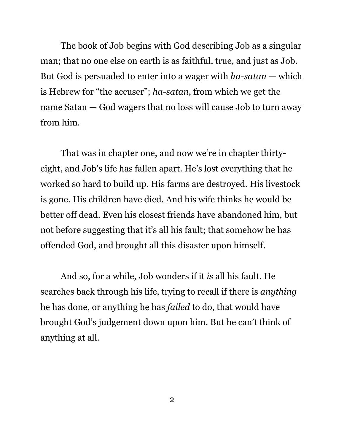The book of Job begins with God describing Job as a singular man; that no one else on earth is as faithful, true, and just as Job. But God is persuaded to enter into a wager with *ha-satan* — which is Hebrew for "the accuser"; *ha-satan*, from which we get the name Satan — God wagers that no loss will cause Job to turn away from him.

That was in chapter one, and now we're in chapter thirtyeight, and Job's life has fallen apart. He's lost everything that he worked so hard to build up. His farms are destroyed. His livestock is gone. His children have died. And his wife thinks he would be better off dead. Even his closest friends have abandoned him, but not before suggesting that it's all his fault; that somehow he has offended God, and brought all this disaster upon himself.

And so, for a while, Job wonders if it *is* all his fault. He searches back through his life, trying to recall if there is *anything* he has done, or anything he has *failed* to do, that would have brought God's judgement down upon him. But he can't think of anything at all.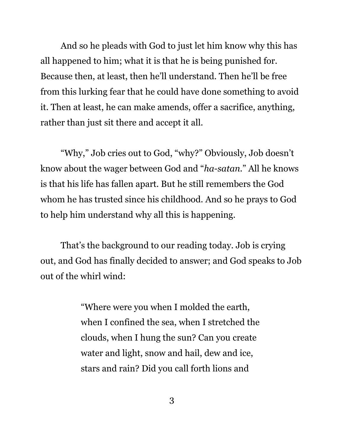And so he pleads with God to just let him know why this has all happened to him; what it is that he is being punished for. Because then, at least, then he'll understand. Then he'll be free from this lurking fear that he could have done something to avoid it. Then at least, he can make amends, offer a sacrifice, anything, rather than just sit there and accept it all.

"Why," Job cries out to God, "why?" Obviously, Job doesn't know about the wager between God and "*ha-satan*." All he knows is that his life has fallen apart. But he still remembers the God whom he has trusted since his childhood. And so he prays to God to help him understand why all this is happening.

That's the background to our reading today. Job is crying out, and God has finally decided to answer; and God speaks to Job out of the whirl wind:

> "Where were you when I molded the earth, when I confined the sea, when I stretched the clouds, when I hung the sun? Can you create water and light, snow and hail, dew and ice, stars and rain? Did you call forth lions and

> > 3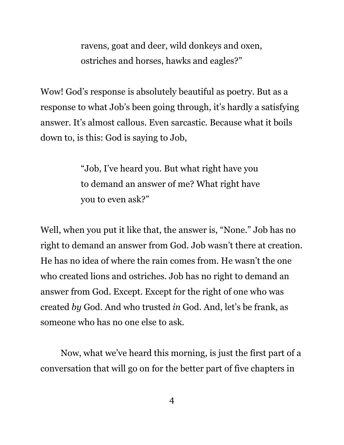ravens, goat and deer, wild donkeys and oxen, ostriches and horses, hawks and eagles?"

Wow! God's response is absolutely beautiful as poetry. But as a response to what Job's been going through, it's hardly a satisfying answer. It's almost callous. Even sarcastic. Because what it boils down to, is this: God is saying to Job,

> "Job, I've heard you. But what right have you to demand an answer of me? What right have you to even ask?"

Well, when you put it like that, the answer is, "None." Job has no right to demand an answer from God. Job wasn't there at creation. He has no idea of where the rain comes from. He wasn't the one who created lions and ostriches. Job has no right to demand an answer from God. Except. Except for the right of one who was created *by* God. And who trusted *in* God. And, let's be frank, as someone who has no one else to ask.

Now, what we've heard this morning, is just the first part of a conversation that will go on for the better part of five chapters in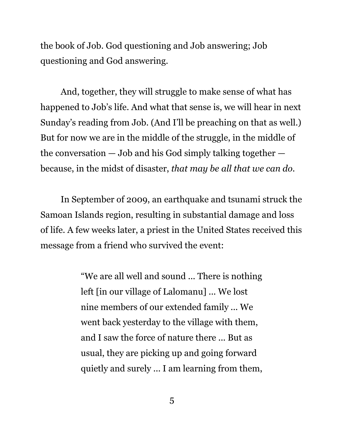the book of Job. God questioning and Job answering; Job questioning and God answering.

And, together, they will struggle to make sense of what has happened to Job's life. And what that sense is, we will hear in next Sunday's reading from Job. (And I'll be preaching on that as well.) But for now we are in the middle of the struggle, in the middle of the conversation  $-$  Job and his God simply talking together  $$ because, in the midst of disaster, *that may be all that we can do.*

In September of 2009, an earthquake and tsunami struck the Samoan Islands region, resulting in substantial damage and loss of life. A few weeks later, a priest in the United States received this message from a friend who survived the event:

> "We are all well and sound ... There is nothing left [in our village of Lalomanu] ... We lost nine members of our extended family ... We went back yesterday to the village with them, and I saw the force of nature there ... But as usual, they are picking up and going forward quietly and surely ... I am learning from them,

> > 5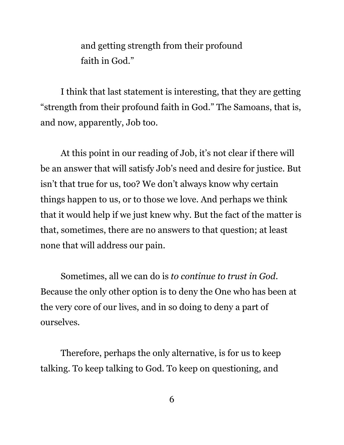and getting strength from their profound faith in God."

I think that last statement is interesting, that they are getting "strength from their profound faith in God." The Samoans, that is, and now, apparently, Job too.

At this point in our reading of Job, it's not clear if there will be an answer that will satisfy Job's need and desire for justice. But isn't that true for us, too? We don't always know why certain things happen to us, or to those we love. And perhaps we think that it would help if we just knew why. But the fact of the matter is that, sometimes, there are no answers to that question; at least none that will address our pain.

Sometimes, all we can do is *to continue to trust in God*. Because the only other option is to deny the One who has been at the very core of our lives, and in so doing to deny a part of ourselves.

Therefore, perhaps the only alternative, is for us to keep talking. To keep talking to God. To keep on questioning, and